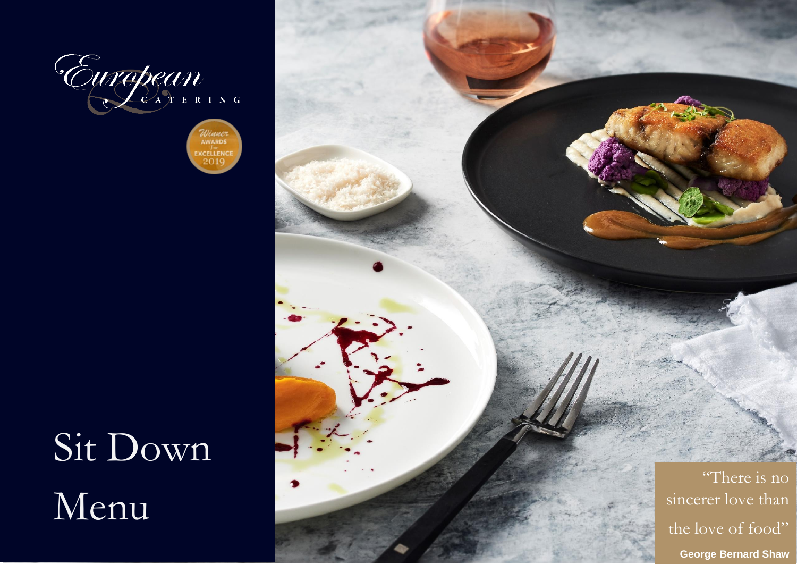

Winner<br>AWARDS EXCELLENCE 2010

# Sit Down Menu

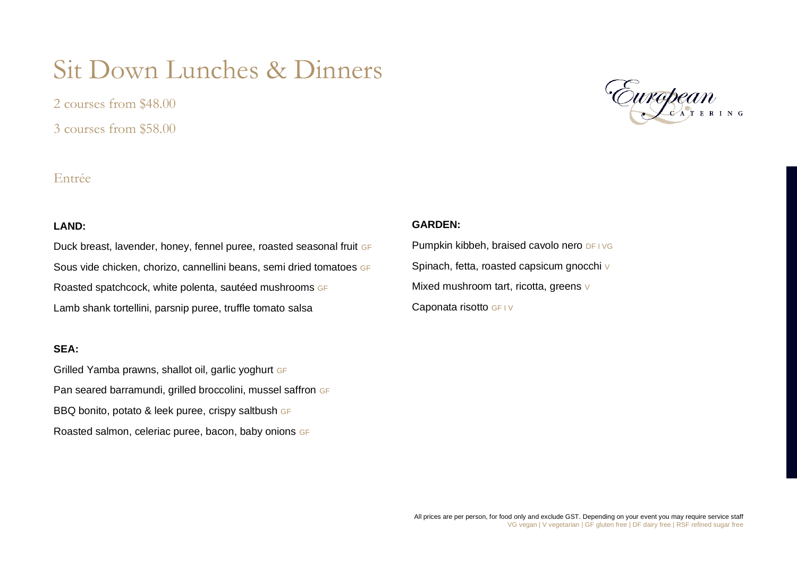# Sit Down Lunches & Dinners

2 courses from \$48.00 3 courses from \$58.00

# Entrée

#### **LAND:**

Duck breast, lavender, honey, fennel puree, roasted seasonal fruit GF Sous vide chicken, chorizo, cannellini beans, semi dried tomatoes GF Roasted spatchcock, white polenta, sautéed mushrooms GF Lamb shank tortellini, parsnip puree, truffle tomato salsa

#### **SEA:**

Grilled Yamba prawns, shallot oil, garlic yoghurt GF Pan seared barramundi, grilled broccolini, mussel saffron GF BBQ bonito, potato & leek puree, crispy saltbush GF Roasted salmon, celeriac puree, bacon, baby onions GF



#### **GARDEN:**

Pumpkin kibbeh, braised cavolo nero DF I VG Spinach, fetta, roasted capsicum gnocchi V Mixed mushroom tart, ricotta, greens v Caponata risotto GF IV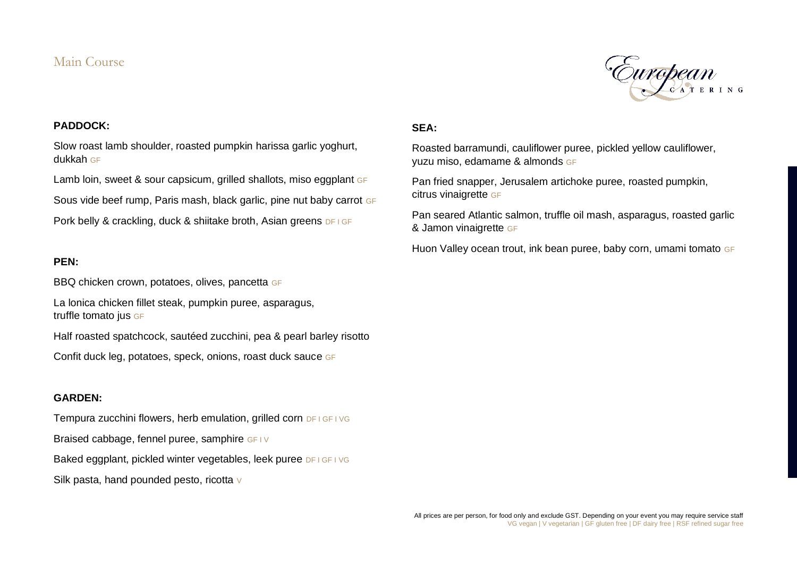## Main Course



#### **PADDOCK:**

Slow roast lamb shoulder, roasted pumpkin harissa garlic yoghurt, dukkah GF

Lamb loin, sweet & sour capsicum, grilled shallots, miso eggplant GF

Sous vide beef rump, Paris mash, black garlic, pine nut baby carrot GF

Pork belly & crackling, duck & shiitake broth, Asian greens DF I GF

#### **PEN:**

BBQ chicken crown, potatoes, olives, pancetta GF

La lonica chicken fillet steak, pumpkin puree, asparagus, truffle tomato jus GF

Half roasted spatchcock, sautéed zucchini, pea & pearl barley risotto

Confit duck leg, potatoes, speck, onions, roast duck sauce GF

#### **GARDEN:**

Tempura zucchini flowers, herb emulation, grilled corn DF I GF I VG Braised cabbage, fennel puree, samphire GF IV Baked eggplant, pickled winter vegetables, leek puree DF I GF I VG Silk pasta, hand pounded pesto, ricotta v

#### **SEA:**

Roasted barramundi, cauliflower puree, pickled yellow cauliflower, yuzu miso, edamame & almonds GF

Pan fried snapper, Jerusalem artichoke puree, roasted pumpkin, citrus vinaigrette GF

Pan seared Atlantic salmon, truffle oil mash, asparagus, roasted garlic & Jamon vinaigrette GF

Huon Valley ocean trout, ink bean puree, baby corn, umami tomato GF